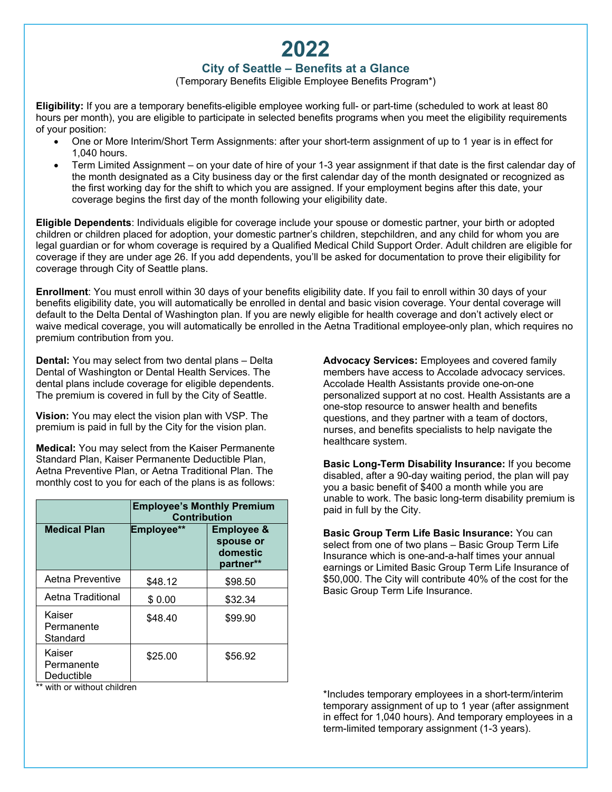# **2022**

## **City of Seattle – Benefits at a Glance**

(Temporary Benefits Eligible Employee Benefits Program\*)

**Eligibility:** If you are a temporary benefits-eligible employee working full- or part-time (scheduled to work at least 80 hours per month), you are eligible to participate in selected benefits programs when you meet the eligibility requirements of your position:

- One or More Interim/Short Term Assignments: after your short-term assignment of up to 1 year is in effect for 1,040 hours.
- Term Limited Assignment on your date of hire of your 1-3 year assignment if that date is the first calendar day of the month designated as a City business day or the first calendar day of the month designated or recognized as the first working day for the shift to which you are assigned. If your employment begins after this date, your coverage begins the first day of the month following your eligibility date.

**Eligible Dependents**: Individuals eligible for coverage include your spouse or domestic partner, your birth or adopted children or children placed for adoption, your domestic partner's children, stepchildren, and any child for whom you are legal guardian or for whom coverage is required by a Qualified Medical Child Support Order. Adult children are eligible for coverage if they are under age 26. If you add dependents, you'll be asked for documentation to prove their eligibility for coverage through City of Seattle plans.

**Enrollment**: You must enroll within 30 days of your benefits eligibility date. If you fail to enroll within 30 days of your benefits eligibility date, you will automatically be enrolled in dental and basic vision coverage. Your dental coverage will default to the Delta Dental of Washington plan. If you are newly eligible for health coverage and don't actively elect or waive medical coverage, you will automatically be enrolled in the Aetna Traditional employee-only plan, which requires no premium contribution from you.

**Dental:** You may select from two dental plans – Delta Dental of Washington or Dental Health Services. The dental plans include coverage for eligible dependents. The premium is covered in full by the City of Seattle.

**Vision:** You may elect the vision plan with VSP. The premium is paid in full by the City for the vision plan.

**Medical:** You may select from the Kaiser Permanente Standard Plan, Kaiser Permanente Deductible Plan, Aetna Preventive Plan, or Aetna Traditional Plan. The monthly cost to you for each of the plans is as follows:

|                                    | <b>Employee's Monthly Premium</b><br><b>Contribution</b> |                                                             |
|------------------------------------|----------------------------------------------------------|-------------------------------------------------------------|
| <b>Medical Plan</b>                | Employee**                                               | <b>Employee &amp;</b><br>spouse or<br>domestic<br>partner** |
| Aetna Preventive                   | \$48.12                                                  | \$98.50                                                     |
| Aetna Traditional                  | \$0.00                                                   | \$32.34                                                     |
| Kaiser<br>Permanente<br>Standard   | \$48.40                                                  | \$99.90                                                     |
| Kaiser<br>Permanente<br>Deductible | \$25.00                                                  | \$56.92                                                     |

\*\* with or without children

**Advocacy Services:** Employees and covered family members have access to Accolade advocacy services. Accolade Health Assistants provide one-on-one personalized support at no cost. Health Assistants are a one-stop resource to answer health and benefits questions, and they partner with a team of doctors, nurses, and benefits specialists to help navigate the healthcare system.

**Basic Long-Term Disability Insurance:** If you become disabled, after a 90-day waiting period, the plan will pay you a basic benefit of \$400 a month while you are unable to work. The basic long-term disability premium is paid in full by the City.

**Basic Group Term Life Basic Insurance:** You can select from one of two plans – Basic Group Term Life Insurance which is one-and-a-half times your annual earnings or Limited Basic Group Term Life Insurance of \$50,000. The City will contribute 40% of the cost for the Basic Group Term Life Insurance.

\*Includes temporary employees in a short-term/interim temporary assignment of up to 1 year (after assignment in effect for 1,040 hours). And temporary employees in a term-limited temporary assignment (1-3 years).